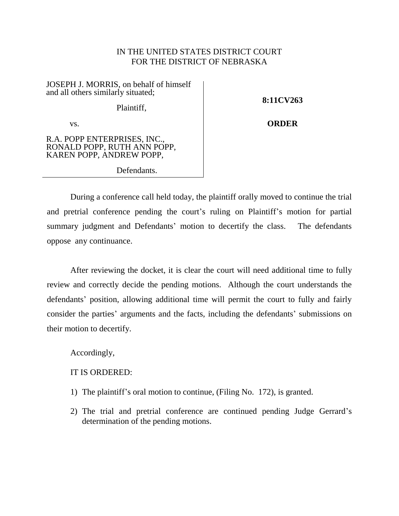## IN THE UNITED STATES DISTRICT COURT FOR THE DISTRICT OF NEBRASKA

JOSEPH J. MORRIS, on behalf of himself and all others similarly situated; Plaintiff,

**8:11CV263**

**ORDER**

vs.

R.A. POPP ENTERPRISES, INC., RONALD POPP, RUTH ANN POPP, KAREN POPP, ANDREW POPP,

Defendants.

During a conference call held today, the plaintiff orally moved to continue the trial and pretrial conference pending the court's ruling on Plaintiff's motion for partial summary judgment and Defendants' motion to decertify the class. The defendants oppose any continuance.

After reviewing the docket, it is clear the court will need additional time to fully review and correctly decide the pending motions. Although the court understands the defendants' position, allowing additional time will permit the court to fully and fairly consider the parties' arguments and the facts, including the defendants' submissions on their motion to decertify.

Accordingly,

IT IS ORDERED:

- 1) The plaintiff's oral motion to continue, (Filing No. 172), is granted.
- 2) The trial and pretrial conference are continued pending Judge Gerrard's determination of the pending motions.